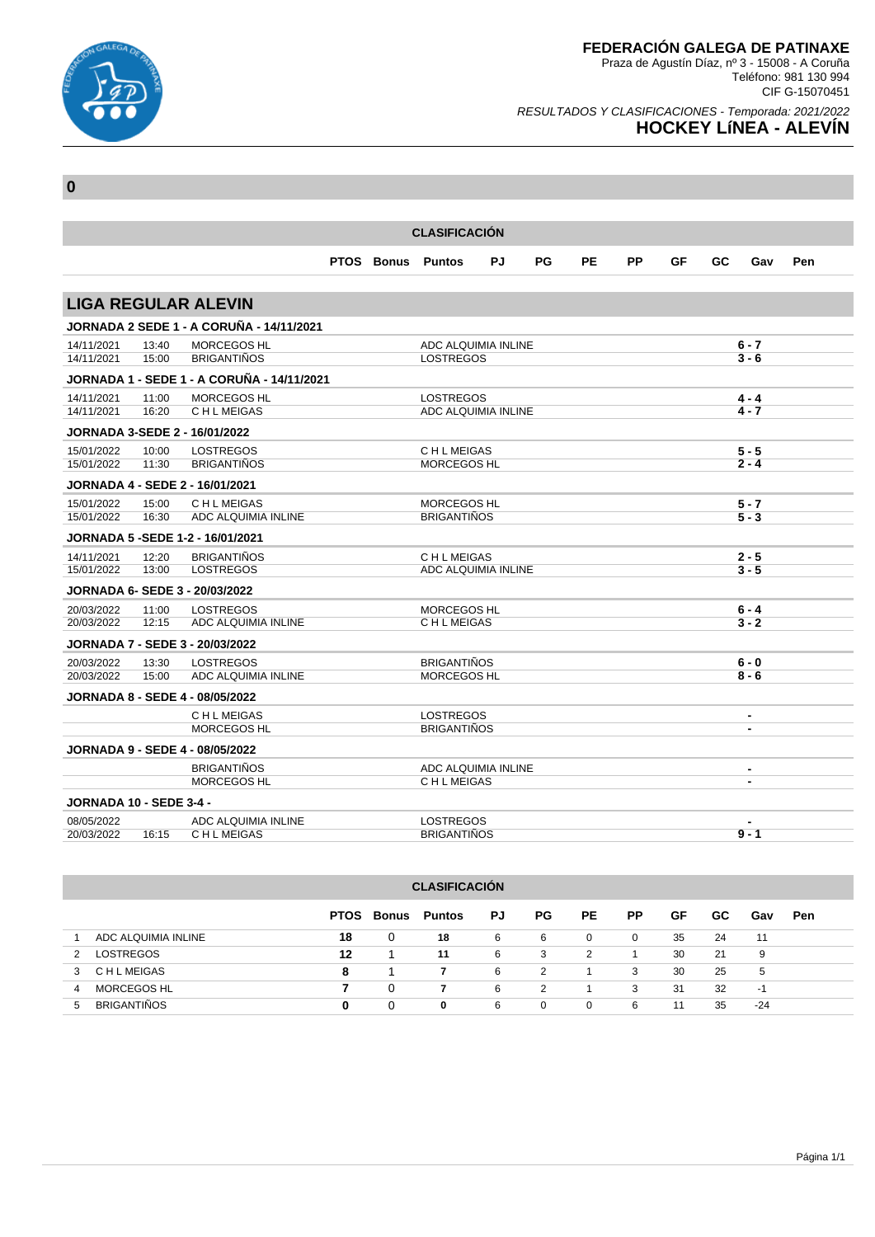

Teléfono: 981 130 994 CIF G-15070451

### RESULTADOS Y CLASIFICACIONES - Temporada: 2021/2022 **HOCKEY LíNEA - ALEVÍN**

| <b>CLASIFICACIÓN</b>           |                |                                            |  |                   |                                          |    |    |           |    |    |    |                    |     |
|--------------------------------|----------------|--------------------------------------------|--|-------------------|------------------------------------------|----|----|-----------|----|----|----|--------------------|-----|
|                                |                |                                            |  | <b>PTOS Bonus</b> | <b>Puntos</b>                            | PJ | PG | <b>PE</b> | PP | GF | GC | Gav                | Pen |
|                                |                |                                            |  |                   |                                          |    |    |           |    |    |    |                    |     |
|                                |                | <b>LIGA REGULAR ALEVIN</b>                 |  |                   |                                          |    |    |           |    |    |    |                    |     |
|                                |                | JORNADA 2 SEDE 1 - A CORUÑA - 14/11/2021   |  |                   |                                          |    |    |           |    |    |    |                    |     |
| 14/11/2021                     | 13:40          | <b>MORCEGOS HL</b>                         |  |                   | ADC ALQUIMIA INLINE                      |    |    |           |    |    |    | $6 - 7$            |     |
| 14/11/2021                     | 15:00          | <b>BRIGANTIÑOS</b>                         |  |                   | <b>LOSTREGOS</b>                         |    |    |           |    |    |    | $3 - 6$            |     |
|                                |                | JORNADA 1 - SEDE 1 - A CORUÑA - 14/11/2021 |  |                   |                                          |    |    |           |    |    |    |                    |     |
| 14/11/2021                     | 11:00          | MORCEGOS HL                                |  |                   | <b>LOSTREGOS</b>                         |    |    |           |    |    |    | $4 - 4$            |     |
| 14/11/2021                     | 16:20          | C H L MEIGAS                               |  |                   | ADC ALQUIMIA INLINE                      |    |    |           |    |    |    | $4 - 7$            |     |
|                                |                | JORNADA 3-SEDE 2 - 16/01/2022              |  |                   |                                          |    |    |           |    |    |    |                    |     |
| 15/01/2022                     | 10:00          | <b>LOSTREGOS</b><br><b>BRIGANTIÑOS</b>     |  |                   | <b>CHLMEIGAS</b>                         |    |    |           |    |    |    | $5 - 5$<br>$2 - 4$ |     |
| 15/01/2022                     | 11:30          |                                            |  |                   | <b>MORCEGOS HL</b>                       |    |    |           |    |    |    |                    |     |
|                                |                | <b>JORNADA 4 - SEDE 2 - 16/01/2021</b>     |  |                   |                                          |    |    |           |    |    |    |                    |     |
| 15/01/2022<br>15/01/2022       | 15:00<br>16:30 | C H L MEIGAS<br>ADC ALQUIMIA INLINE        |  |                   | <b>MORCEGOS HL</b><br><b>BRIGANTIÑOS</b> |    |    |           |    |    |    | $5 - 7$<br>$5 - 3$ |     |
|                                |                | JORNADA 5 - SEDE 1-2 - 16/01/2021          |  |                   |                                          |    |    |           |    |    |    |                    |     |
| 14/11/2021                     | 12:20          | <b>BRIGANTIÑOS</b>                         |  |                   | C H L MEIGAS                             |    |    |           |    |    |    | $2 - 5$            |     |
| 15/01/2022                     | 13:00          | <b>LOSTREGOS</b>                           |  |                   | ADC ALQUIMIA INLINE                      |    |    |           |    |    |    | $3 - 5$            |     |
|                                |                | JORNADA 6- SEDE 3 - 20/03/2022             |  |                   |                                          |    |    |           |    |    |    |                    |     |
| 20/03/2022                     | 11:00          | <b>LOSTREGOS</b>                           |  |                   | MORCEGOS HL                              |    |    |           |    |    |    | $6 - 4$            |     |
| 20/03/2022                     | 12:15          | ADC ALQUIMIA INLINE                        |  |                   | C H L MEIGAS                             |    |    |           |    |    |    | $3 - 2$            |     |
|                                |                | <b>JORNADA 7 - SEDE 3 - 20/03/2022</b>     |  |                   |                                          |    |    |           |    |    |    |                    |     |
| 20/03/2022                     | 13:30          | <b>LOSTREGOS</b>                           |  |                   | <b>BRIGANTIÑOS</b>                       |    |    |           |    |    |    | $6 - 0$            |     |
| 20/03/2022                     | 15:00          | ADC ALQUIMIA INLINE                        |  |                   | MORCEGOS HL                              |    |    |           |    |    |    | $8 - 6$            |     |
|                                |                | <b>JORNADA 8 - SEDE 4 - 08/05/2022</b>     |  |                   |                                          |    |    |           |    |    |    |                    |     |
|                                |                | C H L MEIGAS                               |  |                   | <b>LOSTREGOS</b>                         |    |    |           |    |    |    | $\blacksquare$     |     |
|                                |                | <b>MORCEGOS HL</b>                         |  |                   | <b>BRIGANTIÑOS</b>                       |    |    |           |    |    |    | $\blacksquare$     |     |
|                                |                | <b>JORNADA 9 - SEDE 4 - 08/05/2022</b>     |  |                   |                                          |    |    |           |    |    |    |                    |     |
|                                |                | <b>BRIGANTIÑOS</b>                         |  |                   | ADC ALQUIMIA INLINE                      |    |    |           |    |    |    | $\blacksquare$     |     |
|                                |                | <b>MORCEGOS HL</b>                         |  |                   | C H L MEIGAS                             |    |    |           |    |    |    | $\blacksquare$     |     |
| <b>JORNADA 10 - SEDE 3-4 -</b> |                |                                            |  |                   |                                          |    |    |           |    |    |    |                    |     |
| 08/05/2022                     |                | ADC ALQUIMIA INLINE                        |  |                   | <b>LOSTREGOS</b>                         |    |    |           |    |    |    | $\blacksquare$     |     |
| 20/03/2022                     | 16:15          | C H L MEIGAS                               |  |                   | <b>BRIGANTIÑOS</b>                       |    |    |           |    |    |    | $9 - 1$            |     |

| <b>CLASIFICACIÓN</b> |                                                                                             |    |   |          |   |          |          |              |    |    |       |  |  |  |
|----------------------|---------------------------------------------------------------------------------------------|----|---|----------|---|----------|----------|--------------|----|----|-------|--|--|--|
|                      | PG.<br>PP.<br>PE.<br>GF<br>GC.<br><b>PTOS</b><br>Bonus<br><b>Puntos</b><br>PJ<br>Gav<br>Pen |    |   |          |   |          |          |              |    |    |       |  |  |  |
|                      | ADC ALQUIMIA INLINE                                                                         | 18 | 0 | 18       | 6 | 6        | 0        | $\mathbf{0}$ | 35 | 24 | 11    |  |  |  |
| 2                    | <b>LOSTREGOS</b>                                                                            | 12 |   | 11       | 6 | 3        | 2        |              | 30 | 21 | 9     |  |  |  |
| 3                    | C H L MEIGAS                                                                                | 8  |   |          | 6 | 2        |          | 3            | 30 | 25 | 5     |  |  |  |
| 4                    | MORCEGOS HL                                                                                 |    | 0 |          | 6 | 2        |          | 3            | 31 | 32 | -1    |  |  |  |
| 5                    | <b>BRIGANTIÑOS</b>                                                                          | 0  | 0 | $\bf{0}$ | 6 | $\Omega$ | $\Omega$ | 6            | 11 | 35 | $-24$ |  |  |  |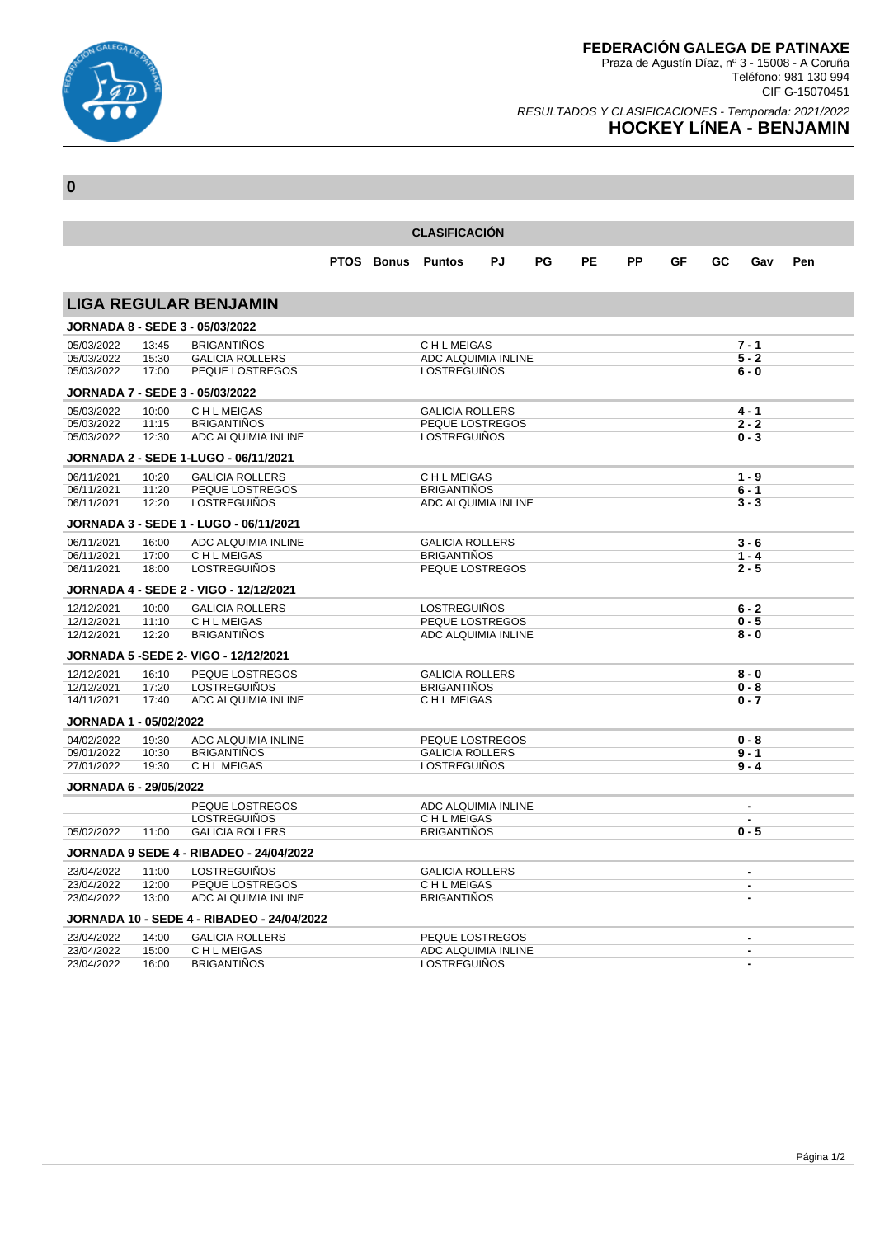

RESULTADOS Y CLASIFICACIONES - Temporada: 2021/2022

# **HOCKEY LíNEA - BENJAMIN**

| <b>CLASIFICACIÓN</b>                 |       |                                                   |  |  |                          |    |    |           |           |    |    |                          |     |
|--------------------------------------|-------|---------------------------------------------------|--|--|--------------------------|----|----|-----------|-----------|----|----|--------------------------|-----|
|                                      |       |                                                   |  |  | <b>PTOS Bonus Puntos</b> | PJ | PG | <b>PE</b> | <b>PP</b> | GF | GC | Gav                      | Pen |
|                                      |       | <b>LIGA REGULAR BENJAMIN</b>                      |  |  |                          |    |    |           |           |    |    |                          |     |
|                                      |       | <b>JORNADA 8 - SEDE 3 - 05/03/2022</b>            |  |  |                          |    |    |           |           |    |    |                          |     |
| 05/03/2022                           | 13:45 | <b>BRIGANTIÑOS</b>                                |  |  | <b>CHLMEIGAS</b>         |    |    |           |           |    |    | $7 - 1$                  |     |
| 05/03/2022                           | 15:30 | <b>GALICIA ROLLERS</b>                            |  |  | ADC ALQUIMIA INLINE      |    |    |           |           |    |    | $5 - 2$                  |     |
| 05/03/2022                           | 17:00 | PEQUE LOSTREGOS                                   |  |  | <b>LOSTREGUIÑOS</b>      |    |    |           |           |    |    | $6 - 0$                  |     |
|                                      |       | <b>JORNADA 7 - SEDE 3 - 05/03/2022</b>            |  |  |                          |    |    |           |           |    |    |                          |     |
| 05/03/2022                           | 10:00 | C H L MEIGAS                                      |  |  | <b>GALICIA ROLLERS</b>   |    |    |           |           |    |    | $4 - 1$                  |     |
| 05/03/2022                           | 11:15 | <b>BRIGANTINOS</b>                                |  |  | PEQUE LOSTREGOS          |    |    |           |           |    |    | $2 - 2$                  |     |
| 05/03/2022                           | 12:30 | ADC ALQUIMIA INLINE                               |  |  | <b>LOSTREGUIÑOS</b>      |    |    |           |           |    |    | $0 - 3$                  |     |
| JORNADA 2 - SEDE 1-LUGO - 06/11/2021 |       |                                                   |  |  |                          |    |    |           |           |    |    |                          |     |
| 06/11/2021                           | 10:20 | <b>GALICIA ROLLERS</b>                            |  |  | C H L MEIGAS             |    |    |           |           |    |    | $1 - 9$                  |     |
| 06/11/2021                           | 11:20 | PEQUE LOSTREGOS                                   |  |  | <b>BRIGANTIÑOS</b>       |    |    |           |           |    |    | $6 - 1$                  |     |
| 06/11/2021                           | 12:20 | <b>LOSTREGUIÑOS</b>                               |  |  | ADC ALQUIMIA INLINE      |    |    |           |           |    |    | $3 - 3$                  |     |
|                                      |       | JORNADA 3 - SEDE 1 - LUGO - 06/11/2021            |  |  |                          |    |    |           |           |    |    |                          |     |
| 06/11/2021                           | 16:00 | ADC ALQUIMIA INLINE                               |  |  | <b>GALICIA ROLLERS</b>   |    |    |           |           |    |    | $3 - 6$                  |     |
| 06/11/2021                           | 17:00 | C H L MEIGAS                                      |  |  | <b>BRIGANTINOS</b>       |    |    |           |           |    |    | $1 - 4$                  |     |
| 06/11/2021                           | 18:00 | <b>LOSTREGUIÑOS</b>                               |  |  | PEQUE LOSTREGOS          |    |    |           |           |    |    | $2 - 5$                  |     |
|                                      |       | JORNADA 4 - SEDE 2 - VIGO - 12/12/2021            |  |  |                          |    |    |           |           |    |    |                          |     |
| 12/12/2021                           | 10:00 | <b>GALICIA ROLLERS</b>                            |  |  | <b>LOSTREGUIÑOS</b>      |    |    |           |           |    |    | $6 - 2$                  |     |
| 12/12/2021                           | 11:10 | C H L MEIGAS                                      |  |  | PEQUE LOSTREGOS          |    |    |           |           |    |    | $0 - 5$                  |     |
| 12/12/2021                           | 12:20 | <b>BRIGANTIÑOS</b>                                |  |  | ADC ALQUIMIA INLINE      |    |    |           |           |    |    | $8 - 0$                  |     |
|                                      |       | <b>JORNADA 5 -SEDE 2- VIGO - 12/12/2021</b>       |  |  |                          |    |    |           |           |    |    |                          |     |
| 12/12/2021                           | 16:10 | PEQUE LOSTREGOS                                   |  |  | <b>GALICIA ROLLERS</b>   |    |    |           |           |    |    | $8 - 0$                  |     |
| 12/12/2021                           | 17:20 | <b>LOSTREGUIÑOS</b>                               |  |  | <b>BRIGANTINOS</b>       |    |    |           |           |    |    | $0 - 8$                  |     |
| 14/11/2021                           | 17:40 | ADC ALQUIMIA INLINE                               |  |  | C H L MEIGAS             |    |    |           |           |    |    | $0 - 7$                  |     |
| JORNADA 1 - 05/02/2022               |       |                                                   |  |  |                          |    |    |           |           |    |    |                          |     |
| 04/02/2022                           | 19:30 | ADC ALQUIMIA INLINE                               |  |  | PEQUE LOSTREGOS          |    |    |           |           |    |    | $0 - 8$                  |     |
| 09/01/2022                           | 10:30 | <b>BRIGANTIÑOS</b>                                |  |  | <b>GALICIA ROLLERS</b>   |    |    |           |           |    |    | $9 - 1$                  |     |
| 27/01/2022                           | 19:30 | C H L MEIGAS                                      |  |  | <b>LOSTREGUIÑOS</b>      |    |    |           |           |    |    | $9 - 4$                  |     |
| <b>JORNADA 6 - 29/05/2022</b>        |       |                                                   |  |  |                          |    |    |           |           |    |    |                          |     |
|                                      |       | PEQUE LOSTREGOS                                   |  |  | ADC ALQUIMIA INLINE      |    |    |           |           |    |    | $\blacksquare$           |     |
|                                      |       | <b>LOSTREGUIÑOS</b>                               |  |  | C H L MEIGAS             |    |    |           |           |    |    |                          |     |
| 05/02/2022                           | 11:00 | <b>GALICIA ROLLERS</b>                            |  |  | <b>BRIGANTIÑOS</b>       |    |    |           |           |    |    | $0 - 5$                  |     |
|                                      |       | <b>JORNADA 9 SEDE 4 - RIBADEO - 24/04/2022</b>    |  |  |                          |    |    |           |           |    |    |                          |     |
| 23/04/2022                           | 11:00 | <b>LOSTREGUIÑOS</b>                               |  |  | <b>GALICIA ROLLERS</b>   |    |    |           |           |    |    | $\blacksquare$           |     |
| 23/04/2022                           | 12:00 | PEQUE LOSTREGOS                                   |  |  | C H L MEIGAS             |    |    |           |           |    |    | $\overline{\phantom{a}}$ |     |
| 23/04/2022                           | 13:00 | ADC ALQUIMIA INLINE                               |  |  | <b>BRIGANTINOS</b>       |    |    |           |           |    |    | $\blacksquare$           |     |
|                                      |       | <b>JORNADA 10 - SEDE 4 - RIBADEO - 24/04/2022</b> |  |  |                          |    |    |           |           |    |    |                          |     |
| 23/04/2022                           | 14:00 | <b>GALICIA ROLLERS</b>                            |  |  | PEQUE LOSTREGOS          |    |    |           |           |    |    | $\blacksquare$           |     |
| 23/04/2022                           | 15:00 | C H L MEIGAS                                      |  |  | ADC ALQUIMIA INLINE      |    |    |           |           |    |    | $\blacksquare$           |     |
| 23/04/2022                           | 16:00 | <b>BRIGANTIÑOS</b>                                |  |  | LOSTREGUIÑOS             |    |    |           |           |    |    | $\blacksquare$           |     |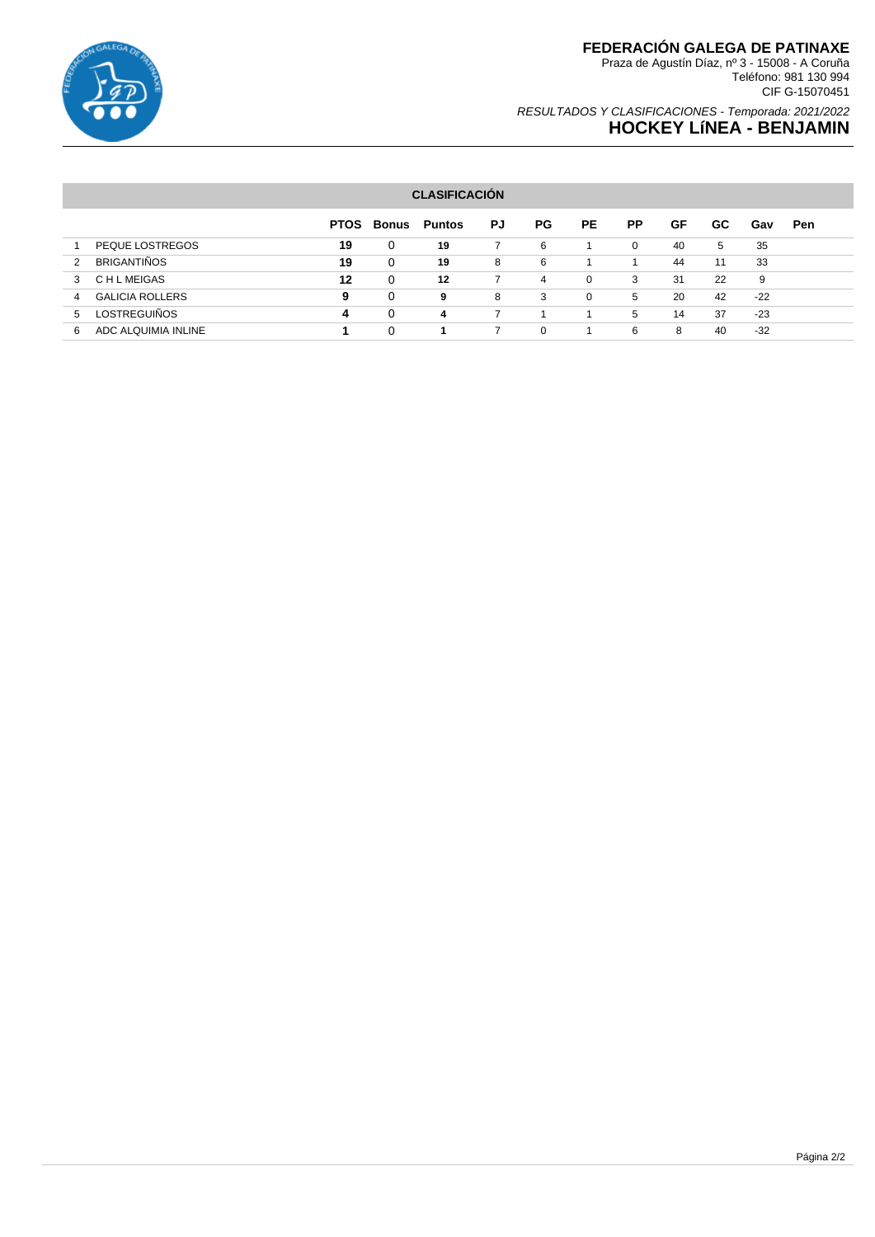

# **FEDERACIÓN GALEGA DE PATINAXE**

Praza de Agustín Díaz, nº 3 - 15008 - A Coruña Teléfono: 981 130 994 CIF G-15070451

### RESULTADOS Y CLASIFICACIONES - Temporada: 2021/2022 **HOCKEY LíNEA - BENJAMIN**

#### **CLASIFICACIÓN**

|                             | <b>PTOS</b> | Bonus    | Puntos | PJ | PG.      | PE.      | <b>PP</b> | GF | GC | Gav   | Pen |
|-----------------------------|-------------|----------|--------|----|----------|----------|-----------|----|----|-------|-----|
| PEQUE LOSTREGOS             | 19          | 0        | 19     |    | 6        |          | 0         | 40 | 5  | 35    |     |
| <b>BRIGANTIÑOS</b><br>2     | 19          | 0        | 19     | 8  | 6        |          |           | 44 | 11 | 33    |     |
| C H L MEIGAS<br>3           | 12          | 0        | 12     |    | 4        | $\Omega$ | 3         | 31 | 22 | 9     |     |
| <b>GALICIA ROLLERS</b><br>4 | 9           | $\Omega$ | 9      | 8  | 3        | $\Omega$ | 5         | 20 | 42 | $-22$ |     |
| <b>LOSTREGUIÑOS</b><br>5    | 4           | $\Omega$ | 4      |    |          |          | 5         | 14 | 37 | $-23$ |     |
| ADC ALQUIMIA INLINE<br>6    |             | 0        |        |    | $\Omega$ |          | 6         | 8  | 40 | $-32$ |     |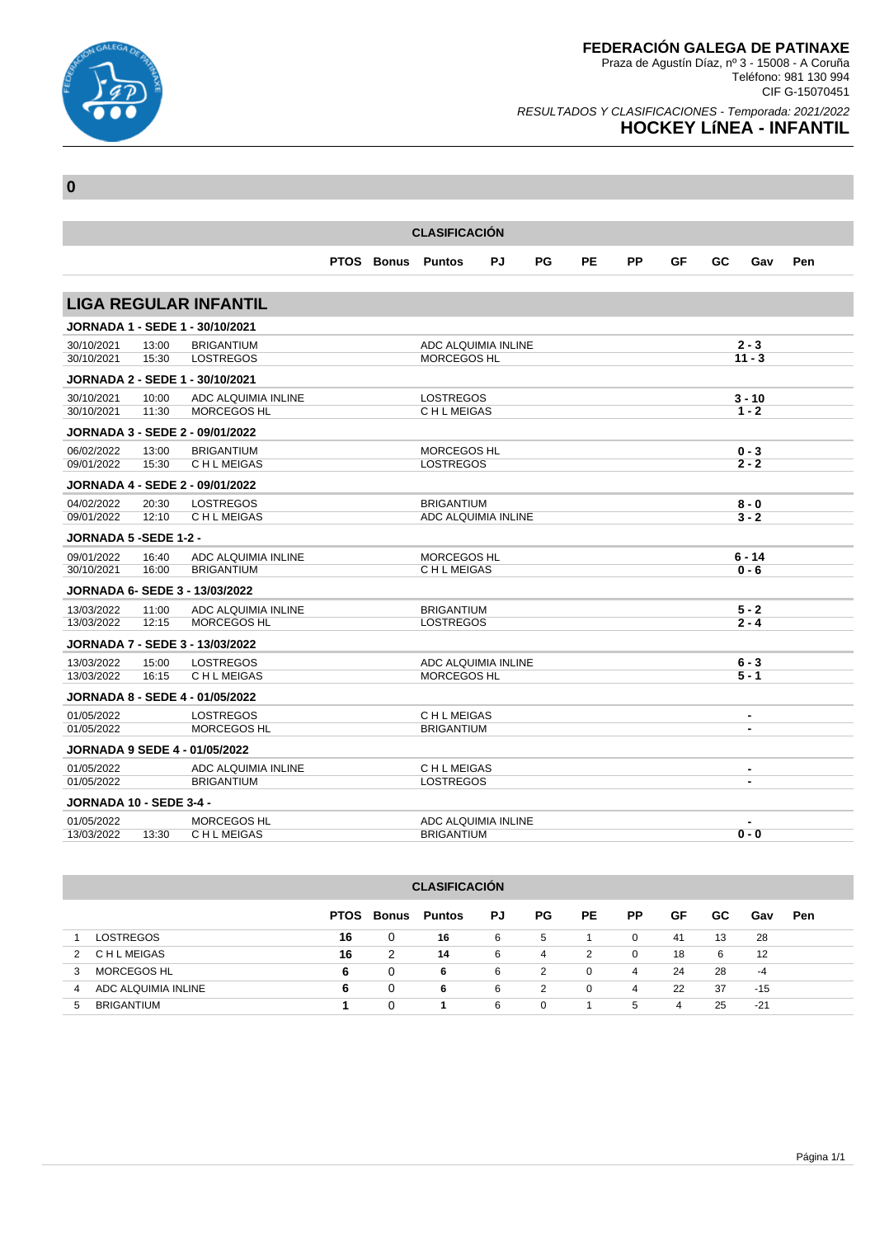

### RESULTADOS Y CLASIFICACIONES - Temporada: 2021/2022 **HOCKEY LíNEA - INFANTIL**

| <b>CLASIFICACIÓN</b>           |                |                                                             |  |                   |                                    |    |    |           |           |    |    |                          |     |
|--------------------------------|----------------|-------------------------------------------------------------|--|-------------------|------------------------------------|----|----|-----------|-----------|----|----|--------------------------|-----|
|                                |                |                                                             |  | <b>PTOS Bonus</b> | <b>Puntos</b>                      | PJ | PG | <b>PE</b> | <b>PP</b> | GF | GC | Gav                      | Pen |
|                                |                |                                                             |  |                   |                                    |    |    |           |           |    |    |                          |     |
|                                |                | <b>LIGA REGULAR INFANTIL</b>                                |  |                   |                                    |    |    |           |           |    |    |                          |     |
|                                |                | <b>JORNADA 1 - SEDE 1 - 30/10/2021</b>                      |  |                   |                                    |    |    |           |           |    |    |                          |     |
| 30/10/2021                     | 13:00          | <b>BRIGANTIUM</b>                                           |  |                   | ADC ALQUIMIA INLINE                |    |    |           |           |    |    | $2 - 3$                  |     |
| 30/10/2021                     | 15:30          | <b>LOSTREGOS</b>                                            |  |                   | <b>MORCEGOS HL</b>                 |    |    |           |           |    |    | $11 - 3$                 |     |
|                                |                | JORNADA 2 - SEDE 1 - 30/10/2021                             |  |                   |                                    |    |    |           |           |    |    |                          |     |
| 30/10/2021<br>30/10/2021       | 10:00<br>11:30 | ADC ALQUIMIA INLINE<br><b>MORCEGOS HL</b>                   |  |                   | <b>LOSTREGOS</b><br>C H L MEIGAS   |    |    |           |           |    |    | $3 - 10$<br>$1 - 2$      |     |
|                                |                |                                                             |  |                   |                                    |    |    |           |           |    |    |                          |     |
| 06/02/2022                     |                | <b>JORNADA 3 - SEDE 2 - 09/01/2022</b><br><b>BRIGANTIUM</b> |  |                   | <b>MORCEGOS HL</b>                 |    |    |           |           |    |    |                          |     |
| 09/01/2022                     | 13:00<br>15:30 | C H L MEIGAS                                                |  |                   | <b>LOSTREGOS</b>                   |    |    |           |           |    |    | $0 - 3$<br>$2 - 2$       |     |
|                                |                | <b>JORNADA 4 - SEDE 2 - 09/01/2022</b>                      |  |                   |                                    |    |    |           |           |    |    |                          |     |
| 04/02/2022                     | 20:30          | <b>LOSTREGOS</b>                                            |  |                   | <b>BRIGANTIUM</b>                  |    |    |           |           |    |    | $8 - 0$                  |     |
| 09/01/2022                     | 12:10          | C H L MEIGAS                                                |  |                   | ADC ALQUIMIA INLINE                |    |    |           |           |    |    | $3 - 2$                  |     |
| <b>JORNADA 5 -SEDE 1-2 -</b>   |                |                                                             |  |                   |                                    |    |    |           |           |    |    |                          |     |
| 09/01/2022                     | 16:40          | ADC ALQUIMIA INLINE                                         |  |                   | <b>MORCEGOS HL</b>                 |    |    |           |           |    |    | $6 - 14$                 |     |
| 30/10/2021                     | 16:00          | <b>BRIGANTIUM</b>                                           |  |                   | C H L MEIGAS                       |    |    |           |           |    |    | 0 - 6                    |     |
|                                |                | <b>JORNADA 6- SEDE 3 - 13/03/2022</b>                       |  |                   |                                    |    |    |           |           |    |    |                          |     |
| 13/03/2022                     | 11:00          | ADC ALQUIMIA INLINE                                         |  |                   | <b>BRIGANTIUM</b>                  |    |    |           |           |    |    | $5 - 2$                  |     |
| 13/03/2022                     | 12:15          | <b>MORCEGOS HL</b>                                          |  |                   | <b>LOSTREGOS</b>                   |    |    |           |           |    |    | $2 - 4$                  |     |
|                                |                | <b>JORNADA 7 - SEDE 3 - 13/03/2022</b>                      |  |                   |                                    |    |    |           |           |    |    |                          |     |
| 13/03/2022<br>13/03/2022       | 15:00<br>16:15 | <b>LOSTREGOS</b><br>C H L MEIGAS                            |  |                   | ADC ALQUIMIA INLINE<br>MORCEGOS HL |    |    |           |           |    |    | $6 - 3$<br>$5 - 1$       |     |
|                                |                | <b>JORNADA 8 - SEDE 4 - 01/05/2022</b>                      |  |                   |                                    |    |    |           |           |    |    |                          |     |
| 01/05/2022                     |                | LOSTREGOS                                                   |  |                   | C H L MEIGAS                       |    |    |           |           |    |    | $\overline{\phantom{a}}$ |     |
| 01/05/2022                     |                | <b>MORCEGOS HL</b>                                          |  |                   | <b>BRIGANTIUM</b>                  |    |    |           |           |    |    | $\blacksquare$           |     |
|                                |                | <b>JORNADA 9 SEDE 4 - 01/05/2022</b>                        |  |                   |                                    |    |    |           |           |    |    |                          |     |
| 01/05/2022                     |                | ADC ALQUIMIA INLINE                                         |  |                   | C H L MEIGAS                       |    |    |           |           |    |    | $\blacksquare$           |     |
| 01/05/2022                     |                | <b>BRIGANTIUM</b>                                           |  |                   | <b>LOSTREGOS</b>                   |    |    |           |           |    |    | -                        |     |
| <b>JORNADA 10 - SEDE 3-4 -</b> |                |                                                             |  |                   |                                    |    |    |           |           |    |    |                          |     |
| 01/05/2022                     |                | <b>MORCEGOS HL</b>                                          |  |                   | ADC ALQUIMIA INLINE                |    |    |           |           |    |    | $\blacksquare$           |     |
| 13/03/2022                     | 13:30          | C H L MEIGAS                                                |  |                   | <b>BRIGANTIUM</b>                  |    |    |           |           |    |    | $0 - 0$                  |     |

| <b>CLASIFICACIÓN</b>     |             |       |               |    |          |           |                |    |     |                   |     |
|--------------------------|-------------|-------|---------------|----|----------|-----------|----------------|----|-----|-------------------|-----|
|                          | <b>PTOS</b> | Bonus | <b>Puntos</b> | PJ | PG.      | <b>PE</b> | <b>PP</b>      | GF | GC. | Gav               | Pen |
| <b>LOSTREGOS</b>         | 16          | 0     | 16            | -6 | 5        |           | $\mathbf{0}$   | 41 | 13  | 28                |     |
| C H L MEIGAS<br>2        | 16          | 2     | 14            | 6  | 4        | 2         | $\mathbf 0$    | 18 | 6   | $12 \overline{ }$ |     |
| MORCEGOS HL<br>3         | 6           | 0     | 6             | -6 | 2        | 0         | $\overline{4}$ | 24 | 28  | -4                |     |
| ADC ALQUIMIA INLINE<br>4 | 6           | 0     | 6             | 6  | 2        | 0         | 4              | 22 | 37  | $-15$             |     |
| <b>BRIGANTIUM</b><br>5   |             | 0     | 1             | 6  | $\Omega$ |           | 5              | 4  | 25  | $-21$             |     |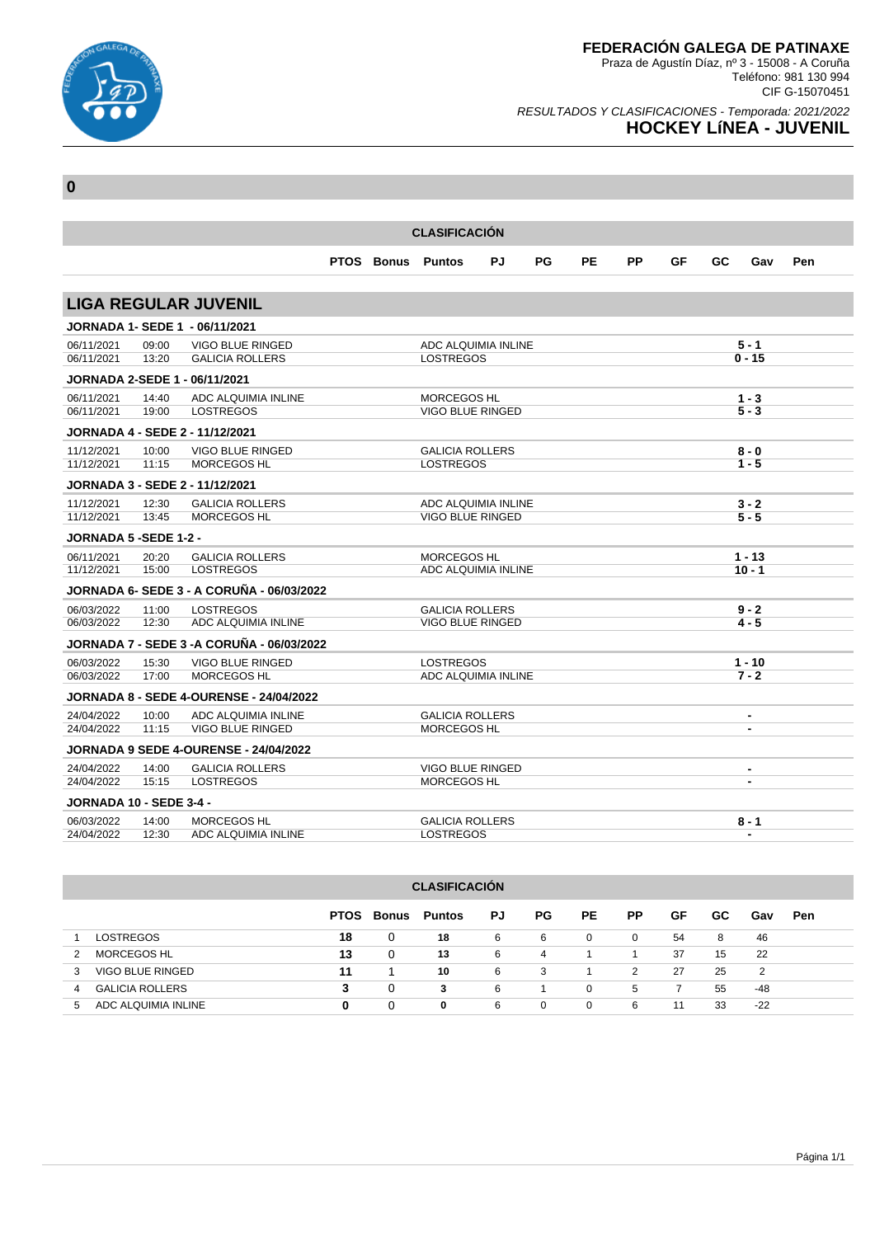

Teléfono: 981 130 994 CIF G-15070451

### RESULTADOS Y CLASIFICACIONES - Temporada: 2021/2022 **HOCKEY LíNEA - JUVENIL**

| <b>CLASIFICACIÓN</b>                         |                |                                                  |  |  |                                                   |           |    |    |           |    |    |                                                          |     |
|----------------------------------------------|----------------|--------------------------------------------------|--|--|---------------------------------------------------|-----------|----|----|-----------|----|----|----------------------------------------------------------|-----|
|                                              |                |                                                  |  |  | <b>PTOS Bonus Puntos</b>                          | <b>PJ</b> | PG | PE | <b>PP</b> | GF | GC | Gav                                                      | Pen |
|                                              |                | <b>LIGA REGULAR JUVENIL</b>                      |  |  |                                                   |           |    |    |           |    |    |                                                          |     |
|                                              |                | <b>JORNADA 1- SEDE 1 - 06/11/2021</b>            |  |  |                                                   |           |    |    |           |    |    |                                                          |     |
| 06/11/2021                                   | 09:00          | VIGO BLUE RINGED                                 |  |  | ADC ALQUIMIA INLINE                               |           |    |    |           |    |    | $5 - 1$                                                  |     |
| 06/11/2021                                   | 13:20          | <b>GALICIA ROLLERS</b>                           |  |  | <b>LOSTREGOS</b>                                  |           |    |    |           |    |    | $0 - 15$                                                 |     |
|                                              |                | <b>JORNADA 2-SEDE 1 - 06/11/2021</b>             |  |  |                                                   |           |    |    |           |    |    |                                                          |     |
| 06/11/2021<br>06/11/2021                     | 14:40          | ADC ALQUIMIA INLINE<br><b>LOSTREGOS</b>          |  |  | MORCEGOS HL<br>VIGO BLUE RINGED                   |           |    |    |           |    |    | $1 - 3$<br>$5 - 3$                                       |     |
|                                              | 19:00          |                                                  |  |  |                                                   |           |    |    |           |    |    |                                                          |     |
|                                              |                | JORNADA 4 - SEDE 2 - 11/12/2021                  |  |  |                                                   |           |    |    |           |    |    |                                                          |     |
| 11/12/2021<br>11/12/2021                     | 10:00<br>11:15 | VIGO BLUE RINGED<br><b>MORCEGOS HL</b>           |  |  | <b>GALICIA ROLLERS</b><br><b>LOSTREGOS</b>        |           |    |    |           |    |    | $8 - 0$<br>$1 - 5$                                       |     |
|                                              |                | JORNADA 3 - SEDE 2 - 11/12/2021                  |  |  |                                                   |           |    |    |           |    |    |                                                          |     |
| 11/12/2021                                   | 12:30          | <b>GALICIA ROLLERS</b>                           |  |  | ADC ALQUIMIA INLINE                               |           |    |    |           |    |    | $3 - 2$                                                  |     |
| 11/12/2021                                   | 13:45          | <b>MORCEGOS HL</b>                               |  |  | <b>VIGO BLUE RINGED</b>                           |           |    |    |           |    |    | $5 - 5$                                                  |     |
| <b>JORNADA 5 -SEDE 1-2 -</b>                 |                |                                                  |  |  |                                                   |           |    |    |           |    |    |                                                          |     |
| 06/11/2021                                   | 20:20          | <b>GALICIA ROLLERS</b>                           |  |  | <b>MORCEGOS HL</b>                                |           |    |    |           |    |    | $1 - 13$                                                 |     |
| 11/12/2021                                   | 15:00          | <b>LOSTREGOS</b>                                 |  |  | ADC ALQUIMIA INLINE                               |           |    |    |           |    |    | $10 - 1$                                                 |     |
|                                              |                | <b>JORNADA 6- SEDE 3 - A CORUÑA - 06/03/2022</b> |  |  |                                                   |           |    |    |           |    |    |                                                          |     |
| 06/03/2022<br>06/03/2022                     | 11:00<br>12:30 | <b>LOSTREGOS</b><br>ADC ALQUIMIA INLINE          |  |  | <b>GALICIA ROLLERS</b><br><b>VIGO BLUE RINGED</b> |           |    |    |           |    |    | $9 - 2$<br>4 - 5                                         |     |
|                                              |                | <b>JORNADA 7 - SEDE 3 -A CORUÑA - 06/03/2022</b> |  |  |                                                   |           |    |    |           |    |    |                                                          |     |
| 06/03/2022                                   | 15:30          | <b>VIGO BLUE RINGED</b>                          |  |  | <b>LOSTREGOS</b>                                  |           |    |    |           |    |    | $1 - 10$                                                 |     |
| 06/03/2022                                   | 17:00          | <b>MORCEGOS HL</b>                               |  |  | ADC ALQUIMIA INLINE                               |           |    |    |           |    |    | $7 - 2$                                                  |     |
|                                              |                | <b>JORNADA 8 - SEDE 4-OURENSE - 24/04/2022</b>   |  |  |                                                   |           |    |    |           |    |    |                                                          |     |
| 24/04/2022                                   | 10:00          | ADC ALQUIMIA INLINE                              |  |  | <b>GALICIA ROLLERS</b>                            |           |    |    |           |    |    | $\blacksquare$                                           |     |
| 24/04/2022                                   | 11:15          | <b>VIGO BLUE RINGED</b>                          |  |  | MORCEGOS HL                                       |           |    |    |           |    |    | $\blacksquare$                                           |     |
|                                              |                | <b>JORNADA 9 SEDE 4-OURENSE - 24/04/2022</b>     |  |  |                                                   |           |    |    |           |    |    |                                                          |     |
| 24/04/2022<br>24/04/2022                     | 14:00<br>15:15 | <b>GALICIA ROLLERS</b><br><b>LOSTREGOS</b>       |  |  | VIGO BLUE RINGED<br><b>MORCEGOS HL</b>            |           |    |    |           |    |    | $\qquad \qquad \blacksquare$<br>$\overline{\phantom{a}}$ |     |
|                                              |                |                                                  |  |  |                                                   |           |    |    |           |    |    |                                                          |     |
| <b>JORNADA 10 - SEDE 3-4 -</b><br>06/03/2022 | 14:00          | <b>MORCEGOS HL</b>                               |  |  | <b>GALICIA ROLLERS</b>                            |           |    |    |           |    |    | $8 - 1$                                                  |     |
| 24/04/2022                                   | 12:30          | ADC ALQUIMIA INLINE                              |  |  | <b>LOSTREGOS</b>                                  |           |    |    |           |    |    | $\blacksquare$                                           |     |

| <b>CLASIFICACIÓN</b>        |             |       |               |    |    |          |              |    |     |       |     |  |
|-----------------------------|-------------|-------|---------------|----|----|----------|--------------|----|-----|-------|-----|--|
|                             | <b>PTOS</b> | Bonus | <b>Puntos</b> | PJ | PG | PE.      | <b>PP</b>    | GF | GC. | Gav   | Pen |  |
| <b>LOSTREGOS</b>            | 18          | 0     | 18            | 6  | 6  | 0        | $\mathbf{0}$ | 54 | 8   | 46    |     |  |
| <b>MORCEGOS HL</b>          | 13          | 0     | 13            | 6  | 4  |          |              | 37 | 15  | 22    |     |  |
| VIGO BLUE RINGED<br>3       | 11          |       | 10            | 6  | 3  |          | 2            | 27 | 25  | 2     |     |  |
| <b>GALICIA ROLLERS</b><br>4 | 3           | 0     | 3             | 6  |    | $\Omega$ | 5            | 7  | 55  | $-48$ |     |  |
| ADC ALQUIMIA INLINE<br>5    | 0           | 0     | 0             | 6  | 0  | $\Omega$ | 6            | 11 | 33  | $-22$ |     |  |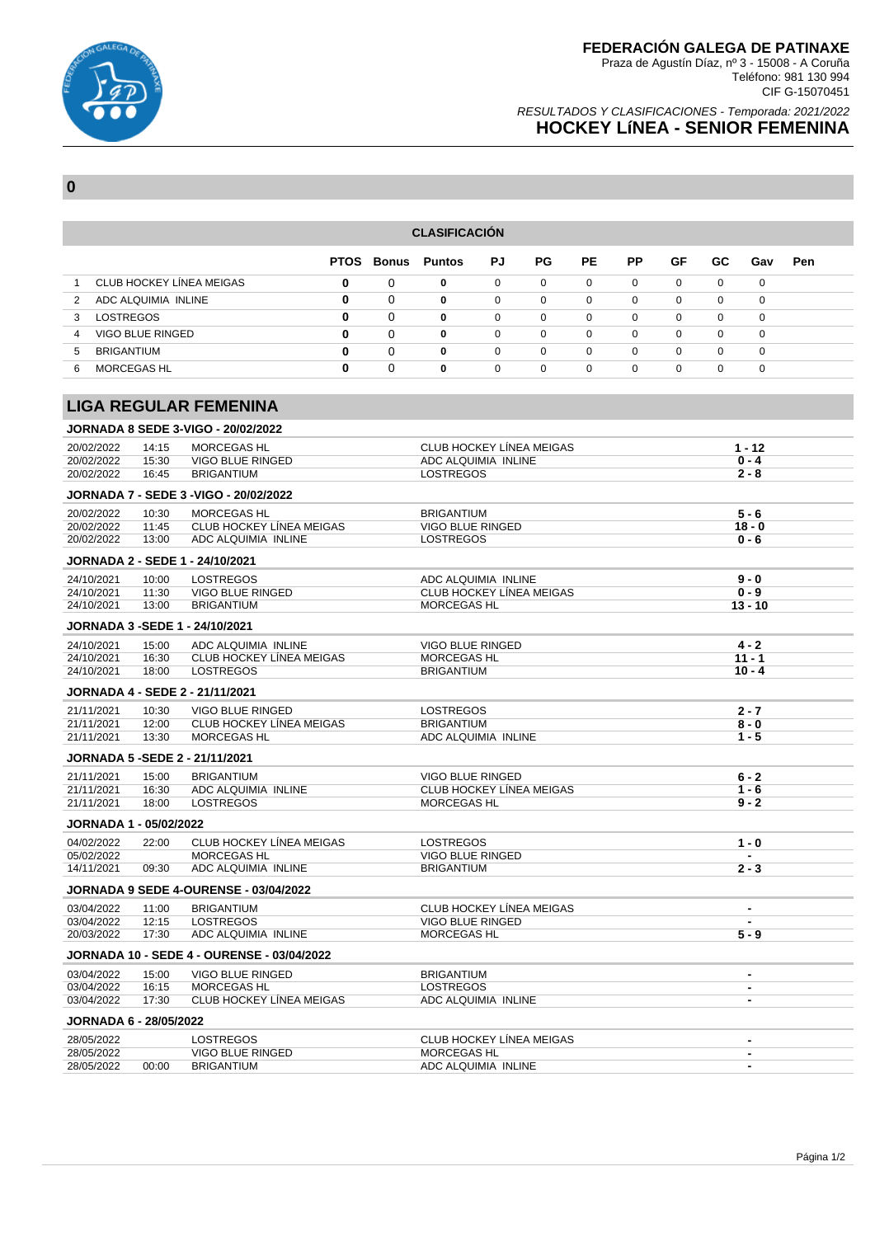

### RESULTADOS Y CLASIFICACIONES - Temporada: 2021/2022 **HOCKEY LíNEA - SENIOR FEMENINA**

**0**

#### **CLASIFICACIÓN**

|                                 | <b>PTOS</b> | <b>Bonus</b> | Puntos   | PJ       | PG.      | PE.      | <b>PP</b>   | GF       | GC.      | Gav      | Pen |
|---------------------------------|-------------|--------------|----------|----------|----------|----------|-------------|----------|----------|----------|-----|
| <b>CLUB HOCKEY LINEA MEIGAS</b> | 0           | 0            | 0        | 0        | $\Omega$ | 0        | $\Omega$    | 0        | 0        | 0        |     |
| ADC ALQUIMIA INLINE             | 0           | 0            | 0        | 0        | 0        | 0        | 0           | 0        | 0        | 0        |     |
| LOSTREGOS                       | 0           | 0            | $\bf{0}$ | $\Omega$ | $\Omega$ | $\Omega$ | $\Omega$    | $\Omega$ | $\Omega$ | $\Omega$ |     |
| <b>VIGO BLUE RINGED</b><br>4    | 0           | $\Omega$     | $\bf{0}$ | $\Omega$ | $\Omega$ | $\Omega$ | $\Omega$    | $\Omega$ | $\Omega$ | $\Omega$ |     |
| <b>BRIGANTIUM</b><br>5          | 0           | $\Omega$     | 0        | $\Omega$ | $\Omega$ | $\Omega$ | $\mathbf 0$ | $\Omega$ | $\Omega$ | $\Omega$ |     |
| <b>MORCEGAS HL</b><br>6         | 0           | $\Omega$     | 0        | $\Omega$ | $\Omega$ | $\Omega$ | $\Omega$    | $\Omega$ | $\Omega$ | $\Omega$ |     |

### **LIGA REGULAR FEMENINA**

|                               |       | <b>JORNADA 8 SEDE 3-VIGO - 20/02/2022</b>         |                                 |                |
|-------------------------------|-------|---------------------------------------------------|---------------------------------|----------------|
| 20/02/2022                    | 14:15 | <b>MORCEGAS HL</b>                                | <b>CLUB HOCKEY LÍNEA MEIGAS</b> | $1 - 12$       |
| 20/02/2022                    | 15:30 | <b>VIGO BLUE RINGED</b>                           | ADC ALQUIMIA INLINE             | $0 - 4$        |
| 20/02/2022                    | 16:45 | <b>BRIGANTIUM</b>                                 | <b>LOSTREGOS</b>                | $2 - 8$        |
|                               |       | JORNADA 7 - SEDE 3 - VIGO - 20/02/2022            |                                 |                |
| 20/02/2022                    | 10:30 | MORCEGAS HL                                       | <b>BRIGANTIUM</b>               | $5 - 6$        |
| 20/02/2022                    | 11:45 | <b>CLUB HOCKEY LINEA MEIGAS</b>                   | VIGO BLUE RINGED                | $18 - 0$       |
| 20/02/2022                    | 13:00 | ADC ALQUIMIA INLINE                               | <b>LOSTREGOS</b>                | $0 - 6$        |
|                               |       | JORNADA 2 - SEDE 1 - 24/10/2021                   |                                 |                |
| 24/10/2021                    | 10:00 | <b>LOSTREGOS</b>                                  | ADC ALQUIMIA INLINE             | $9 - 0$        |
| 24/10/2021                    | 11:30 | <b>VIGO BLUE RINGED</b>                           | <b>CLUB HOCKEY LÍNEA MEIGAS</b> | $0 - 9$        |
| 24/10/2021                    | 13:00 | <b>BRIGANTIUM</b>                                 | MORCEGAS HL                     | $13 - 10$      |
|                               |       | <b>JORNADA 3 -SEDE 1 - 24/10/2021</b>             |                                 |                |
| 24/10/2021                    | 15:00 | ADC ALQUIMIA INLINE                               | <b>VIGO BLUE RINGED</b>         | $4 - 2$        |
| 24/10/2021                    | 16:30 | <b>CLUB HOCKEY LÍNEA MEIGAS</b>                   | <b>MORCEGAS HL</b>              | $11 - 1$       |
| 24/10/2021                    | 18:00 | <b>LOSTREGOS</b>                                  | <b>BRIGANTIUM</b>               | $10 - 4$       |
|                               |       | <b>JORNADA 4 - SEDE 2 - 21/11/2021</b>            |                                 |                |
| 21/11/2021                    | 10:30 | <b>VIGO BLUE RINGED</b>                           | <b>LOSTREGOS</b>                | $2 - 7$        |
| 21/11/2021                    | 12:00 | <b>CLUB HOCKEY LÍNEA MEIGAS</b>                   | <b>BRIGANTIUM</b>               | $8 - 0$        |
| 21/11/2021                    | 13:30 | MORCEGAS HL                                       | ADC ALQUIMIA INLINE             | $1 - 5$        |
|                               |       | JORNADA 5 - SEDE 2 - 21/11/2021                   |                                 |                |
| 21/11/2021                    | 15:00 | <b>BRIGANTIUM</b>                                 | <b>VIGO BLUE RINGED</b>         | $6 - 2$        |
| 21/11/2021                    | 16:30 | ADC ALQUIMIA INLINE                               | <b>CLUB HOCKEY LÍNEA MEIGAS</b> | $1 - 6$        |
| 21/11/2021                    | 18:00 | <b>LOSTREGOS</b>                                  | MORCEGAS HL                     | $9 - 2$        |
| <b>JORNADA 1 - 05/02/2022</b> |       |                                                   |                                 |                |
|                               |       |                                                   |                                 |                |
| 04/02/2022                    | 22:00 | <b>CLUB HOCKEY LÍNEA MEIGAS</b>                   | <b>LOSTREGOS</b>                | $1 - 0$        |
| 05/02/2022                    |       | <b>MORCEGAS HL</b>                                | <b>VIGO BLUE RINGED</b>         | $\sim$         |
| 14/11/2021                    | 09:30 | ADC ALQUIMIA INLINE                               | <b>BRIGANTIUM</b>               | $2 - 3$        |
|                               |       | <b>JORNADA 9 SEDE 4-OURENSE - 03/04/2022</b>      |                                 |                |
| 03/04/2022                    | 11:00 | <b>BRIGANTIUM</b>                                 | <b>CLUB HOCKEY LÍNEA MEIGAS</b> | $\blacksquare$ |
| 03/04/2022                    | 12:15 | <b>LOSTREGOS</b>                                  | VIGO BLUE RINGED                |                |
| 20/03/2022                    | 17:30 | ADC ALQUIMIA INLINE                               | MORCEGAS HL                     | $5 - 9$        |
|                               |       | <b>JORNADA 10 - SEDE 4 - OURENSE - 03/04/2022</b> |                                 |                |
| 03/04/2022                    | 15:00 | <b>VIGO BLUE RINGED</b>                           | <b>BRIGANTIUM</b>               | $\blacksquare$ |
| 03/04/2022                    | 16:15 | <b>MORCEGAS HL</b>                                | <b>LOSTREGOS</b>                | $\blacksquare$ |
| 03/04/2022                    | 17:30 | <b>CLUB HOCKEY LÍNEA MEIGAS</b>                   | ADC ALQUIMIA INLINE             | $\blacksquare$ |
| <b>JORNADA 6 - 28/05/2022</b> |       |                                                   |                                 |                |
| 28/05/2022                    |       | <b>LOSTREGOS</b>                                  | <b>CLUB HOCKEY LÍNEA MEIGAS</b> | $\blacksquare$ |
| 28/05/2022                    |       | VIGO BLUE RINGED                                  | <b>MORCEGAS HL</b>              | $\blacksquare$ |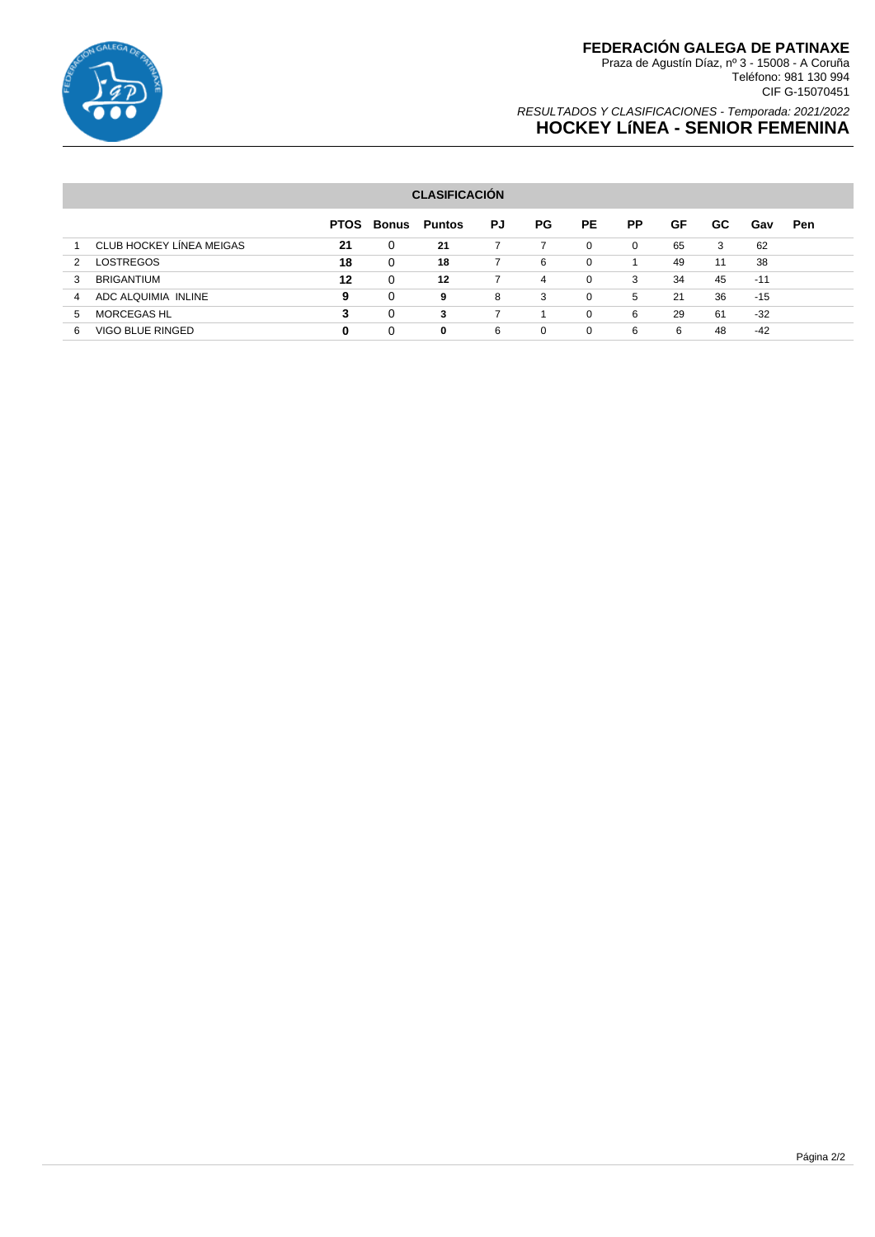

## **FEDERACIÓN GALEGA DE PATINAXE**

Praza de Agustín Díaz, nº 3 - 15008 - A Coruña Teléfono: 981 130 994 CIF G-15070451

### RESULTADOS Y CLASIFICACIONES - Temporada: 2021/2022 **HOCKEY LíNEA - SENIOR FEMENINA**

### **CLASIFICACIÓN**

|   |                          | <b>PTOS</b> | Bonus    | <b>Puntos</b> | PJ | PG. | PE.      | <b>PP</b> | GF | GC. | Gav   | Pen |
|---|--------------------------|-------------|----------|---------------|----|-----|----------|-----------|----|-----|-------|-----|
|   | CLUB HOCKEY LINEA MEIGAS | 21          | 0        | 21            |    |     | $\Omega$ | 0         | 65 | 3   | 62    |     |
| 2 | <b>LOSTREGOS</b>         | 18          | 0        | 18            |    | 6   | 0        |           | 49 | 11  | 38    |     |
| 3 | <b>BRIGANTIUM</b>        | 12          | 0        | 12            |    | 4   | 0        | 3         | 34 | 45  | $-11$ |     |
| 4 | ADC ALQUIMIA INLINE      | 9           | $\Omega$ | 9             | 8  | 3   | $\Omega$ | 5         | 21 | 36  | $-15$ |     |
| 5 | <b>MORCEGAS HL</b>       | 3           | 0        | 3             |    |     | $\Omega$ | 6         | 29 | 61  | $-32$ |     |
| 6 | VIGO BLUE RINGED         | 0           | 0        | 0             | 6  | 0   | 0        | 6         | 6  | 48  | -42   |     |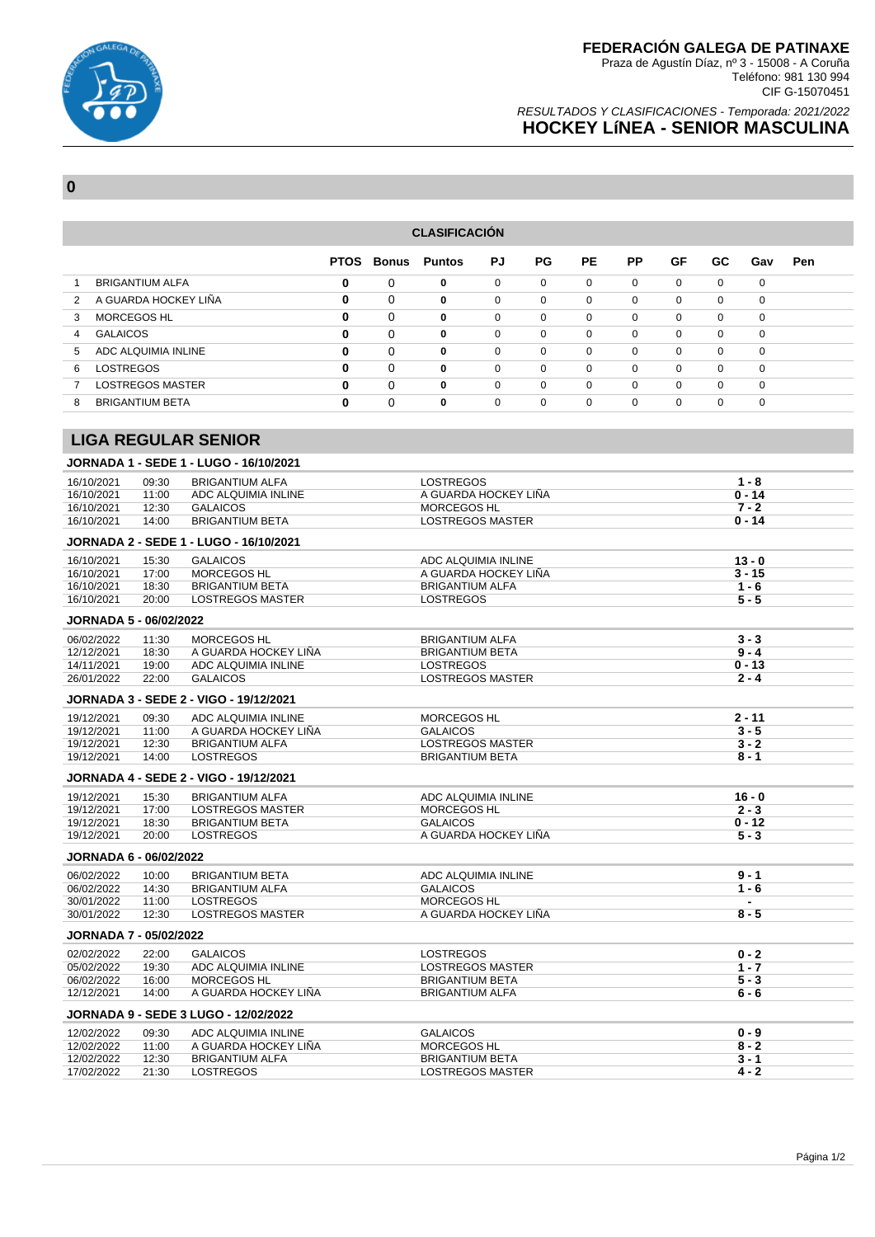

### **FEDERACIÓN GALEGA DE PATINAXE**

Praza de Agustín Díaz, nº 3 - 15008 - A Coruña Teléfono: 981 130 994 CIF G-15070451

### RESULTADOS Y CLASIFICACIONES - Temporada: 2021/2022 **HOCKEY LíNEA - SENIOR MASCULINA**

**0**

| <b>CLASIFICACIÓN</b>                                                                          |                         |   |          |   |             |             |          |             |              |             |             |  |  |
|-----------------------------------------------------------------------------------------------|-------------------------|---|----------|---|-------------|-------------|----------|-------------|--------------|-------------|-------------|--|--|
| GF<br>PJ<br><b>PE</b><br>РP<br><b>PTOS Bonus</b><br><b>Puntos</b><br>PG.<br>GC.<br>Pen<br>Gav |                         |   |          |   |             |             |          |             |              |             |             |  |  |
|                                                                                               | <b>BRIGANTIUM ALFA</b>  | 0 | 0        | 0 | $\mathbf 0$ | $\mathbf 0$ | 0        | $\mathbf 0$ | $\mathbf 0$  | $\mathbf 0$ | $\mathbf 0$ |  |  |
| 2                                                                                             | A GUARDA HOCKEY LIÑA    | 0 | $\Omega$ | 0 | $\Omega$    | $\Omega$    | 0        | $\mathbf 0$ | 0            | 0           | $\Omega$    |  |  |
| 3                                                                                             | MORCEGOS HL             | 0 | $\Omega$ | 0 | $\mathbf 0$ | $\mathbf 0$ | 0        | $\mathbf 0$ | $\mathbf{0}$ | $\mathbf 0$ | $\mathbf 0$ |  |  |
| 4                                                                                             | <b>GALAICOS</b>         | 0 | $\Omega$ | 0 | $\Omega$    | $\Omega$    | $\Omega$ | $\mathbf 0$ | 0            | $\mathbf 0$ | $\mathbf 0$ |  |  |
| 5                                                                                             | ADC ALQUIMIA INLINE     | 0 | $\Omega$ | 0 | $\Omega$    | $\mathbf 0$ | 0        | 0           | 0            | $\mathbf 0$ | 0           |  |  |
| 6                                                                                             | LOSTREGOS               | 0 | $\Omega$ | 0 | $\Omega$    | $\Omega$    | $\Omega$ | $\Omega$    | $\Omega$     | $\Omega$    | $\Omega$    |  |  |
|                                                                                               | <b>LOSTREGOS MASTER</b> | 0 | 0        | 0 | $\mathbf 0$ | $\mathbf 0$ | 0        | 0           | 0            | 0           | $\mathbf 0$ |  |  |
| 8                                                                                             | <b>BRIGANTIUM BETA</b>  | 0 | 0        | 0 | $\Omega$    | $\mathbf 0$ | 0        | 0           | 0            | 0           | $\mathbf 0$ |  |  |
|                                                                                               |                         |   |          |   |             |             |          |             |              |             |             |  |  |

### **LIGA REGULAR SENIOR**

|                               |       | JORNADA 1 - SEDE 1 - LUGO - 16/10/2021      |                         |                |  |  |  |
|-------------------------------|-------|---------------------------------------------|-------------------------|----------------|--|--|--|
| 16/10/2021                    | 09:30 | <b>BRIGANTIUM ALFA</b>                      | <b>LOSTREGOS</b>        | $1 - 8$        |  |  |  |
| 16/10/2021                    | 11:00 | ADC ALQUIMIA INLINE                         | A GUARDA HOCKEY LIÑA    | $0 - 14$       |  |  |  |
| 16/10/2021                    | 12:30 | <b>GALAICOS</b>                             | <b>MORCEGOS HL</b>      | $7 - 2$        |  |  |  |
| 16/10/2021                    | 14:00 | <b>BRIGANTIUM BETA</b>                      | <b>LOSTREGOS MASTER</b> | $0 - 14$       |  |  |  |
|                               |       | JORNADA 2 - SEDE 1 - LUGO - 16/10/2021      |                         |                |  |  |  |
| 16/10/2021                    | 15:30 | <b>GALAICOS</b>                             | $13 - 0$                |                |  |  |  |
| 16/10/2021                    | 17:00 | <b>MORCEGOS HL</b>                          | A GUARDA HOCKEY LIÑA    | $3 - 15$       |  |  |  |
| 16/10/2021                    | 18:30 | <b>BRIGANTIUM BETA</b>                      | <b>BRIGANTIUM ALFA</b>  | $1 - 6$        |  |  |  |
| 16/10/2021                    | 20:00 | <b>LOSTREGOS MASTER</b>                     | <b>LOSTREGOS</b>        | $5 - 5$        |  |  |  |
| <b>JORNADA 5 - 06/02/2022</b> |       |                                             |                         |                |  |  |  |
| 06/02/2022                    | 11:30 | MORCEGOS HL                                 | $3 - 3$                 |                |  |  |  |
| 12/12/2021                    | 18:30 | A GUARDA HOCKEY LIÑA                        | <b>BRIGANTIUM BETA</b>  | $9 - 4$        |  |  |  |
| 14/11/2021                    | 19:00 | ADC ALQUIMIA INLINE                         | <b>LOSTREGOS</b>        | $0 - 13$       |  |  |  |
| 26/01/2022                    | 22:00 | <b>GALAICOS</b>                             | <b>LOSTREGOS MASTER</b> | $2 - 4$        |  |  |  |
|                               |       | JORNADA 3 - SEDE 2 - VIGO - 19/12/2021      |                         |                |  |  |  |
| 19/12/2021                    | 09:30 | ADC ALQUIMIA INLINE                         | <b>MORCEGOS HL</b>      | 2 - 11         |  |  |  |
| 19/12/2021                    | 11:00 | A GUARDA HOCKEY LIÑA                        | <b>GALAICOS</b>         | $3 - 5$        |  |  |  |
| 19/12/2021                    | 12:30 | <b>BRIGANTIUM ALFA</b>                      | <b>LOSTREGOS MASTER</b> | $3 - 2$        |  |  |  |
| 19/12/2021                    | 14:00 | <b>LOSTREGOS</b>                            | <b>BRIGANTIUM BETA</b>  | $8 - 1$        |  |  |  |
|                               |       | JORNADA 4 - SEDE 2 - VIGO - 19/12/2021      |                         |                |  |  |  |
| 19/12/2021                    | 15:30 | <b>BRIGANTIUM ALFA</b>                      | ADC ALQUIMIA INLINE     | $16 - 0$       |  |  |  |
| 19/12/2021                    | 17:00 | <b>LOSTREGOS MASTER</b>                     | <b>MORCEGOS HL</b>      | $2 - 3$        |  |  |  |
| 19/12/2021                    | 18:30 | <b>BRIGANTIUM BETA</b>                      | <b>GALAICOS</b>         | $0 - 12$       |  |  |  |
| 19/12/2021                    | 20:00 | <b>LOSTREGOS</b>                            | A GUARDA HOCKEY LIÑA    | $5 - 3$        |  |  |  |
| JORNADA 6 - 06/02/2022        |       |                                             |                         |                |  |  |  |
| 06/02/2022                    | 10:00 | <b>BRIGANTIUM BETA</b>                      | ADC ALQUIMIA INLINE     | $9 - 1$        |  |  |  |
| 06/02/2022                    | 14:30 | <b>BRIGANTIUM ALFA</b>                      | <b>GALAICOS</b>         | $1 - 6$        |  |  |  |
| 30/01/2022                    | 11:00 | <b>LOSTREGOS</b>                            | <b>MORCEGOS HL</b>      | $\blacksquare$ |  |  |  |
| 30/01/2022                    | 12:30 | <b>LOSTREGOS MASTER</b>                     | A GUARDA HOCKEY LIÑA    | $8 - 5$        |  |  |  |
| <b>JORNADA 7 - 05/02/2022</b> |       |                                             |                         |                |  |  |  |
| 02/02/2022                    | 22:00 | <b>GALAICOS</b>                             | <b>LOSTREGOS</b>        | $0 - 2$        |  |  |  |
| 05/02/2022                    | 19:30 | ADC ALQUIMIA INLINE                         | <b>LOSTREGOS MASTER</b> | $1 - 7$        |  |  |  |
| 06/02/2022                    | 16:00 | MORCEGOS HL                                 | <b>BRIGANTIUM BETA</b>  | $5 - 3$        |  |  |  |
| 12/12/2021                    | 14:00 | A GUARDA HOCKEY LIÑA                        | <b>BRIGANTIUM ALFA</b>  | $6 - 6$        |  |  |  |
|                               |       | <b>JORNADA 9 - SEDE 3 LUGO - 12/02/2022</b> |                         |                |  |  |  |
| 12/02/2022                    | 09:30 | ADC ALQUIMIA INLINE                         | <b>GALAICOS</b>         | $0 - 9$        |  |  |  |
| 12/02/2022                    | 11:00 | A GUARDA HOCKEY LIÑA                        | MORCEGOS HL             | $8 - 2$        |  |  |  |
| 12/02/2022                    | 12:30 | <b>BRIGANTIUM ALFA</b>                      | <b>BRIGANTIUM BETA</b>  | $3 - 1$        |  |  |  |
| 17/02/2022                    | 21:30 | <b>LOSTREGOS</b>                            | <b>LOSTREGOS MASTER</b> | $4 - 2$        |  |  |  |